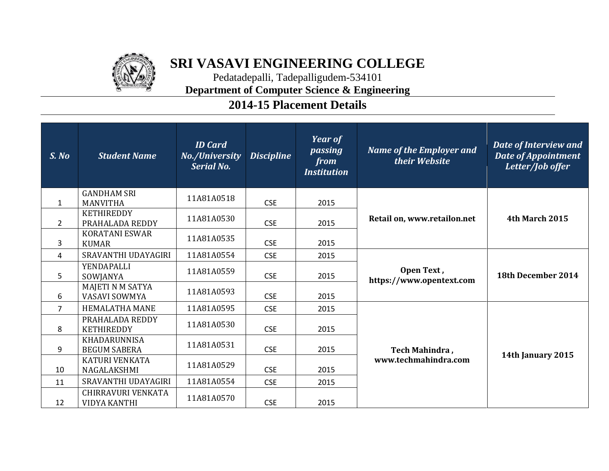

## **SRI VASAVI ENGINEERING COLLEGE**

Pedatadepalli, Tadepalligudem-534101 **Department of Computer Science & Engineering**

## **2014-15 Placement Details**

| S. No          | <b>Student Name</b>                              | <b>ID</b> Card<br>No./University<br><b>Serial No.</b> | <b>Discipline</b> | <b>Year of</b><br>passing<br>from<br><b>Institution</b> | <b>Name of the Employer and</b><br>their Website | Date of Interview and<br><b>Date of Appointment</b><br>Letter/Job offer |
|----------------|--------------------------------------------------|-------------------------------------------------------|-------------------|---------------------------------------------------------|--------------------------------------------------|-------------------------------------------------------------------------|
| $\mathbf{1}$   | <b>GANDHAM SRI</b><br><b>MANVITHA</b>            | 11A81A0518                                            | <b>CSE</b>        | 2015                                                    | Retail on, www.retailon.net                      | 4th March 2015                                                          |
| $\overline{2}$ | <b>KETHIREDDY</b><br>PRAHALADA REDDY             | 11A81A0530                                            | <b>CSE</b>        | 2015                                                    |                                                  |                                                                         |
| 3              | <b>KORATANI ESWAR</b><br><b>KUMAR</b>            | 11A81A0535                                            | <b>CSE</b>        | 2015                                                    |                                                  |                                                                         |
| 4              | SRAVANTHI UDAYAGIRI                              | 11A81A0554                                            | <b>CSE</b>        | 2015                                                    |                                                  |                                                                         |
| 5              | <b>YENDAPALLI</b><br>SOWJANYA                    | 11A81A0559                                            | <b>CSE</b>        | 2015                                                    | Open Text,<br>https://www.opentext.com           | 18th December 2014                                                      |
| 6              | MAJETI N M SATYA<br><b>VASAVI SOWMYA</b>         | 11A81A0593                                            | <b>CSE</b>        | 2015                                                    |                                                  |                                                                         |
| $\overline{7}$ | <b>HEMALATHA MANE</b>                            | 11A81A0595                                            | <b>CSE</b>        | 2015                                                    |                                                  |                                                                         |
| 8              | PRAHALADA REDDY<br><b>KETHIREDDY</b>             | 11A81A0530                                            | <b>CSE</b>        | 2015                                                    |                                                  |                                                                         |
| 9              | <b>KHADARUNNISA</b><br><b>BEGUM SABERA</b>       | 11A81A0531                                            | <b>CSE</b>        | 2015                                                    | Tech Mahindra,                                   |                                                                         |
| 10             | KATURI VENKATA<br>NAGALAKSHMI                    | 11A81A0529                                            | <b>CSE</b>        | 2015                                                    | www.techmahindra.com                             | 14th January 2015                                                       |
| 11             | SRAVANTHI UDAYAGIRI                              | 11A81A0554                                            | <b>CSE</b>        | 2015                                                    |                                                  |                                                                         |
| 12             | <b>CHIRRAVURI VENKATA</b><br><b>VIDYA KANTHI</b> | 11A81A0570                                            | <b>CSE</b>        | 2015                                                    |                                                  |                                                                         |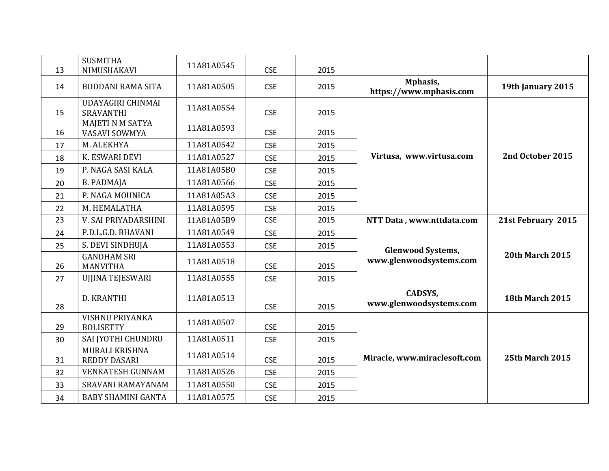| 13 | <b>SUSMITHA</b><br>NIMUSHAKAVI               | 11A81A0545 | <b>CSE</b> | 2015 |                                           |                        |
|----|----------------------------------------------|------------|------------|------|-------------------------------------------|------------------------|
| 14 | <b>BODDANI RAMA SITA</b>                     | 11A81A0505 | <b>CSE</b> | 2015 | Mphasis,<br>https://www.mphasis.com       | 19th January 2015      |
| 15 | UDAYAGIRI CHINMAI<br><b>SRAVANTHI</b>        | 11A81A0554 | <b>CSE</b> | 2015 |                                           |                        |
| 16 | <b>MAJETI N M SATYA</b><br>VASAVI SOWMYA     | 11A81A0593 | <b>CSE</b> | 2015 |                                           |                        |
| 17 | M. ALEKHYA                                   | 11A81A0542 | <b>CSE</b> | 2015 |                                           |                        |
| 18 | K. ESWARI DEVI                               | 11A81A0527 | <b>CSE</b> | 2015 | Virtusa, www.virtusa.com                  | 2nd October 2015       |
| 19 | P. NAGA SASI KALA                            | 11A81A05B0 | <b>CSE</b> | 2015 |                                           |                        |
| 20 | <b>B. PADMAJA</b>                            | 11A81A0566 | <b>CSE</b> | 2015 |                                           |                        |
| 21 | P. NAGA MOUNICA                              | 11A81A05A3 | <b>CSE</b> | 2015 |                                           |                        |
| 22 | M. HEMALATHA                                 | 11A81A0595 | <b>CSE</b> | 2015 |                                           |                        |
| 23 | V. SAI PRIYADARSHINI                         | 11A81A05B9 | <b>CSE</b> | 2015 | NTT Data, www.nttdata.com                 | 21st February 2015     |
| 24 | P.D.L.G.D. BHAVANI                           | 11A81A0549 | <b>CSE</b> | 2015 |                                           |                        |
| 25 | S. DEVI SINDHUJA                             | 11A81A0553 | <b>CSE</b> | 2015 | <b>Glenwood Systems,</b>                  |                        |
| 26 | <b>GANDHAM SRI</b><br><b>MANVITHA</b>        | 11A81A0518 | <b>CSE</b> | 2015 | www.glenwoodsystems.com                   | <b>20th March 2015</b> |
| 27 | UJJINA TEJESWARI                             | 11A81A0555 | <b>CSE</b> | 2015 |                                           |                        |
| 28 | D. KRANTHI                                   | 11A81A0513 | <b>CSE</b> | 2015 | <b>CADSYS,</b><br>www.glenwoodsystems.com | <b>18th March 2015</b> |
| 29 | <b>VISHNU PRIYANKA</b><br><b>BOLISETTY</b>   | 11A81A0507 | <b>CSE</b> | 2015 |                                           |                        |
| 30 | SAI JYOTHI CHUNDRU                           | 11A81A0511 | <b>CSE</b> | 2015 |                                           |                        |
| 31 | <b>MURALI KRISHNA</b><br><b>REDDY DASARI</b> | 11A81A0514 | <b>CSE</b> | 2015 | Miracle, www.miraclesoft.com              | <b>25th March 2015</b> |
| 32 | <b>VENKATESH GUNNAM</b>                      | 11A81A0526 | <b>CSE</b> | 2015 |                                           |                        |
| 33 | SRAVANI RAMAYANAM                            | 11A81A0550 | <b>CSE</b> | 2015 |                                           |                        |
| 34 | <b>BABY SHAMINI GANTA</b>                    | 11A81A0575 | <b>CSE</b> | 2015 |                                           |                        |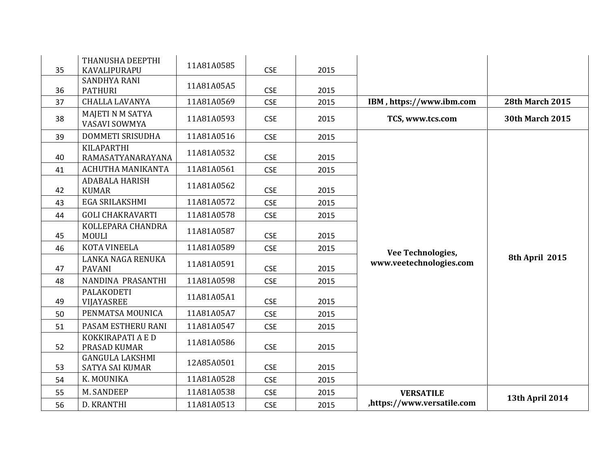| 35 | THANUSHA DEEPTHI<br>KAVALIPURAPU          | 11A81A0585 | <b>CSE</b> | 2015 |                            |                        |
|----|-------------------------------------------|------------|------------|------|----------------------------|------------------------|
| 36 | <b>SANDHYA RANI</b><br><b>PATHURI</b>     | 11A81A05A5 | <b>CSE</b> | 2015 |                            |                        |
| 37 | <b>CHALLA LAVANYA</b>                     | 11A81A0569 | <b>CSE</b> | 2015 | IBM, https://www.ibm.com   | <b>28th March 2015</b> |
| 38 | <b>MAJETI N M SATYA</b><br>VASAVI SOWMYA  | 11A81A0593 | <b>CSE</b> | 2015 | TCS, www.tcs.com           | <b>30th March 2015</b> |
| 39 | DOMMETI SRISUDHA                          | 11A81A0516 | <b>CSE</b> | 2015 |                            |                        |
| 40 | <b>KILAPARTHI</b><br>RAMASATYANARAYANA    | 11A81A0532 | <b>CSE</b> | 2015 |                            |                        |
| 41 | ACHUTHA MANIKANTA                         | 11A81A0561 | <b>CSE</b> | 2015 |                            |                        |
| 42 | <b>ADABALA HARISH</b><br><b>KUMAR</b>     | 11A81A0562 | <b>CSE</b> | 2015 |                            |                        |
| 43 | EGA SRILAKSHMI                            | 11A81A0572 | <b>CSE</b> | 2015 |                            |                        |
| 44 | <b>GOLI CHAKRAVARTI</b>                   | 11A81A0578 | <b>CSE</b> | 2015 |                            |                        |
| 45 | KOLLEPARA CHANDRA<br><b>MOULI</b>         | 11A81A0587 | <b>CSE</b> | 2015 |                            |                        |
| 46 | <b>KOTA VINEELA</b>                       | 11A81A0589 | <b>CSE</b> | 2015 | Vee Technologies,          |                        |
| 47 | LANKA NAGA RENUKA<br><b>PAVANI</b>        | 11A81A0591 | <b>CSE</b> | 2015 | www.veetechnologies.com    | 8th April 2015         |
| 48 | NANDINA PRASANTHI                         | 11A81A0598 | <b>CSE</b> | 2015 |                            |                        |
| 49 | <b>PALAKODETI</b><br>VIJAYASREE           | 11A81A05A1 | <b>CSE</b> | 2015 |                            |                        |
| 50 | PENMATSA MOUNICA                          | 11A81A05A7 | <b>CSE</b> | 2015 |                            |                        |
| 51 | PASAM ESTHERU RANI                        | 11A81A0547 | <b>CSE</b> | 2015 |                            |                        |
| 52 | KOKKIRAPATI A E D<br>PRASAD KUMAR         | 11A81A0586 | <b>CSE</b> | 2015 |                            |                        |
| 53 | <b>GANGULA LAKSHMI</b><br>SATYA SAI KUMAR | 12A85A0501 | <b>CSE</b> | 2015 |                            |                        |
| 54 | K. MOUNIKA                                | 11A81A0528 | <b>CSE</b> | 2015 |                            |                        |
| 55 | M. SANDEEP                                | 11A81A0538 | <b>CSE</b> | 2015 | <b>VERSATILE</b>           |                        |
| 56 | D. KRANTHI                                | 11A81A0513 | <b>CSE</b> | 2015 | ,https://www.versatile.com | <b>13th April 2014</b> |